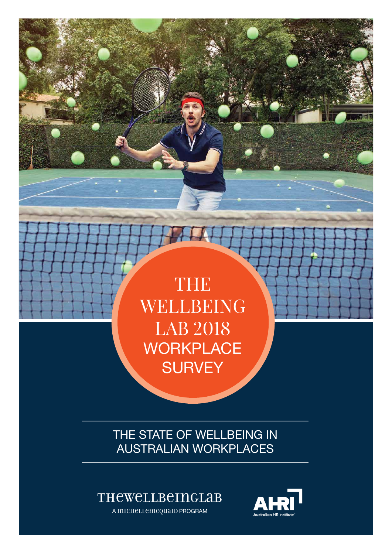

THE STATE OF WELLBEING IN AUSTRALIAN WORKPLACES

## TheWellbeingLab

A michellemcquaid PROGRAM

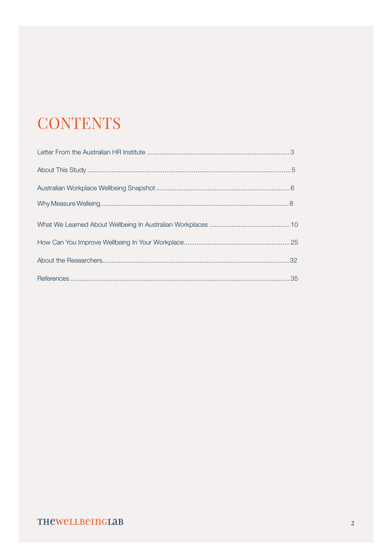# **CONTENTS**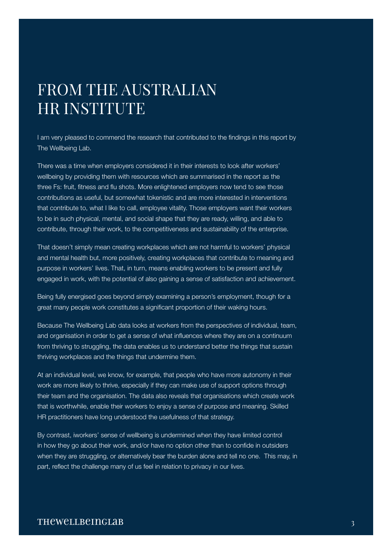## FROM THE AUSTRALIAN HR INSTITUTE

I am very pleased to commend the research that contributed to the findings in this report by The Wellbeing Lab.

There was a time when employers considered it in their interests to look after workers' wellbeing by providing them with resources which are summarised in the report as the three Fs: fruit, fitness and flu shots. More enlightened employers now tend to see those contributions as useful, but somewhat tokenistic and are more interested in interventions that contribute to, what I like to call, employee vitality. Those employers want their workers to be in such physical, mental, and social shape that they are ready, willing, and able to contribute, through their work, to the competitiveness and sustainability of the enterprise.

That doesn't simply mean creating workplaces which are not harmful to workers' physical and mental health but, more positively, creating workplaces that contribute to meaning and purpose in workers' lives. That, in turn, means enabling workers to be present and fully engaged in work, with the potential of also gaining a sense of satisfaction and achievement.

Being fully energised goes beyond simply examining a person's employment, though for a great many people work constitutes a significant proportion of their waking hours.

Because The Wellbeing Lab data looks at workers from the perspectives of individual, team, and organisation in order to get a sense of what influences where they are on a continuum from thriving to struggling, the data enables us to understand better the things that sustain thriving workplaces and the things that undermine them.

At an individual level, we know, for example, that people who have more autonomy in their work are more likely to thrive, especially if they can make use of support options through their team and the organisation. The data also reveals that organisations which create work that is worthwhile, enable their workers to enjoy a sense of purpose and meaning. Skilled HR practitioners have long understood the usefulness of that strategy.

By contrast, iworkers' sense of wellbeing is undermined when they have limited control in how they go about their work, and/or have no option other than to confide in outsiders when they are struggling, or alternatively bear the burden alone and tell no one. This may, in part, reflect the challenge many of us feel in relation to privacy in our lives.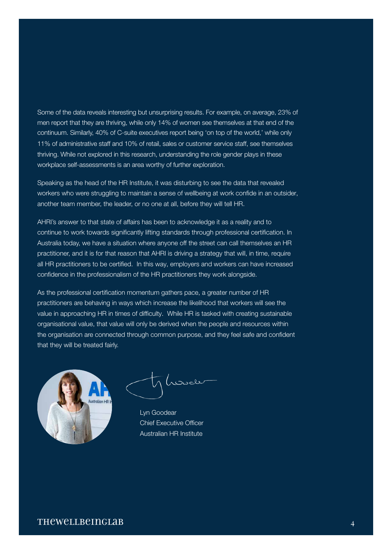Some of the data reveals interesting but unsurprising results. For example, on average, 23% of men report that they are thriving, while only 14% of women see themselves at that end of the continuum. Similarly, 40% of C-suite executives report being 'on top of the world,' while only 11% of administrative staff and 10% of retail, sales or customer service staff, see themselves thriving. While not explored in this research, understanding the role gender plays in these workplace self-assessments is an area worthy of further exploration.

Speaking as the head of the HR Institute, it was disturbing to see the data that revealed workers who were struggling to maintain a sense of wellbeing at work confide in an outsider, another team member, the leader, or no one at all, before they will tell HR.

AHRI's answer to that state of affairs has been to acknowledge it as a reality and to continue to work towards significantly lifting standards through professional certification. In Australia today, we have a situation where anyone off the street can call themselves an HR practitioner, and it is for that reason that AHRI is driving a strategy that will, in time, require all HR practitioners to be certified. In this way, employers and workers can have increased confidence in the professionalism of the HR practitioners they work alongside.

As the professional certification momentum gathers pace, a greater number of HR practitioners are behaving in ways which increase the likelihood that workers will see the value in approaching HR in times of difficulty. While HR is tasked with creating sustainable organisational value, that value will only be derived when the people and resources within the organisation are connected through common purpose, and they feel safe and confident that they will be treated fairly.



Lyn Goodear Chief Executive Officer Australian HR Institute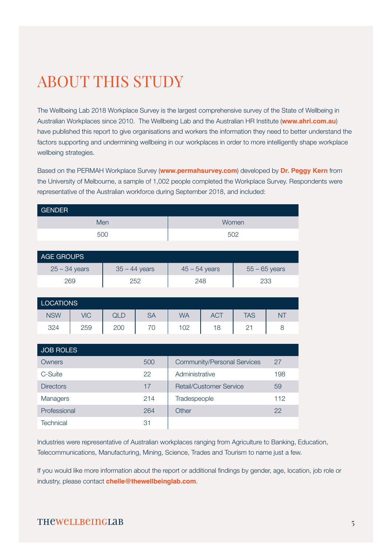# ABOUT THIS STUDY

The Wellbeing Lab 2018 Workplace Survey is the largest comprehensive survey of the State of Wellbeing in Australian Workplaces since 2010. The Wellbeing Lab and the Australian HR Institute (**[www.ahri.com.au](https://www.ahri.com.au)**) have published this report to give organisations and workers the information they need to better understand the factors supporting and undermining wellbeing in our workplaces in order to more intelligently shape workplace wellbeing strategies.

Based on the PERMAH Workplace Survey (**[www.permahsurvey.com](http://www.permahsurvey.com)**) developed by **[Dr. Peggy Kern](http://www.peggykern.org/)** from the University of Melbourne, a sample of 1,002 people completed the Workplace Survey. Respondents were representative of the Australian workforce during September 2018, and included:

| <b>GENDER</b>    |            |                 |                                    |                 |            |                 |           |  |
|------------------|------------|-----------------|------------------------------------|-----------------|------------|-----------------|-----------|--|
| Men              |            |                 | Women                              |                 |            |                 |           |  |
| 500              |            |                 | 502                                |                 |            |                 |           |  |
|                  |            |                 |                                    |                 |            |                 |           |  |
| AGE GROUPS       |            |                 |                                    |                 |            |                 |           |  |
| $25 - 34$ years  |            | $35 - 44$ years |                                    | $45 - 54$ years |            | $55 - 65$ years |           |  |
| 269              |            | 252             |                                    | 248             |            | 233             |           |  |
|                  |            |                 |                                    |                 |            |                 |           |  |
| <b>LOCATIONS</b> |            |                 |                                    |                 |            |                 |           |  |
| <b>NSW</b>       | <b>VIC</b> | <b>QLD</b>      | <b>SA</b>                          | <b>WA</b>       | <b>ACT</b> | <b>TAS</b>      | <b>NT</b> |  |
| 324              | 259        | 200             | 70                                 | 102             | 18         | 21              | 8         |  |
|                  |            |                 |                                    |                 |            |                 |           |  |
| <b>JOB ROLES</b> |            |                 |                                    |                 |            |                 |           |  |
| Owners           |            | 500             | <b>Community/Personal Services</b> |                 |            | 27              |           |  |
| C-Suite          |            | 22              | Administrative                     |                 |            | 198             |           |  |
| <b>Directors</b> |            | 17              | <b>Retail/Customer Service</b>     |                 |            | 59              |           |  |
| Managers         |            | 214             | Tradespeople                       |                 |            | 112             |           |  |
| Professional     |            | 264             | Other                              |                 | 22         |                 |           |  |

Industries were representative of Australian workplaces ranging from Agriculture to Banking, Education, Telecommunications, Manufacturing, Mining, Science, Trades and Tourism to name just a few.

If you would like more information about the report or additional findings by gender, age, location, job role or industry, please contact **[chelle@thewellbeinglab.com](mailto: chelle@thewellbeinglab.com)**.

## THEWELLBEINGLAB 5

Technical 31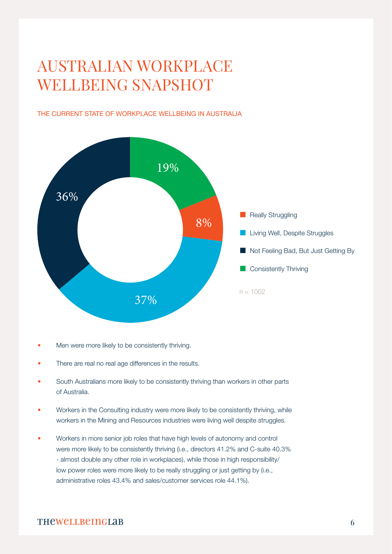# AUSTRALIAN WORKPLACE WELLBEING SNAPSHOT

#### THE CURRENT STATE OF WORKPLACE WELLBEING IN AUSTRALIA



- Men were more likely to be consistently thriving.
- There are real no real age differences in the results.
- South Australians more likely to be consistently thriving than workers in other parts of Australia.
- Workers in the Consulting industry were more likely to be consistently thriving, while workers in the Mining and Resources industries were living well despite struggles.
- Workers in more senior job roles that have high levels of autonomy and control were more likely to be consistently thriving (i.e., directors 41.2% and C-suite 40.3% - almost double any other role in workplaces), while those in high responsibility/ low power roles were more likely to be really struggling or just getting by (i.e., administrative roles 43.4% and sales/customer services role 44.1%).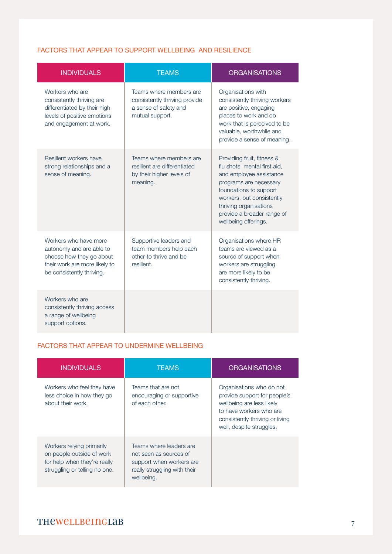#### FACTORS THAT APPEAR TO SUPPORT WELLBEING AND RESILIENCE

| <b>INDIVIDUALS</b>                                                                                                                          | <b>TEAMS</b>                                                                                         | <b>ORGANISATIONS</b>                                                                                                                                                                                                                                   |
|---------------------------------------------------------------------------------------------------------------------------------------------|------------------------------------------------------------------------------------------------------|--------------------------------------------------------------------------------------------------------------------------------------------------------------------------------------------------------------------------------------------------------|
| Workers who are<br>consistently thriving are<br>differentiated by their high<br>levels of positive emotions<br>and engagement at work.      | Teams where members are<br>consistently thriving provide<br>a sense of safety and<br>mutual support. | Organisations with<br>consistently thriving workers<br>are positive, engaging<br>places to work and do<br>work that is perceived to be<br>valuable, worthwhile and<br>provide a sense of meaning.                                                      |
| Resilient workers have<br>strong relationships and a<br>sense of meaning.                                                                   | Teams where members are<br>resilient are differentiated<br>by their higher levels of<br>meaning.     | Providing fruit, fitness &<br>flu shots, mental first aid,<br>and employee assistance<br>programs are necessary<br>foundations to support<br>workers, but consistently<br>thriving organisations<br>provide a broader range of<br>wellbeing offerings. |
| Workers who have more<br>autonomy and are able to<br>choose how they go about<br>their work are more likely to<br>be consistently thriving. | Supportive leaders and<br>team members help each<br>other to thrive and be<br>resilient.             | Organisations where HR<br>teams are viewed as a<br>source of support when<br>workers are struggling<br>are more likely to be<br>consistently thriving.                                                                                                 |
| Workers who are<br>consistently thriving access<br>a range of wellbeing<br>support options.                                                 |                                                                                                      |                                                                                                                                                                                                                                                        |

#### FACTORS THAT APPEAR TO UNDERMINE WELLBEING

| <b>INDIVIDUALS</b>                                                                                                      | <b>TEAMS</b>                                                                                                                | <b>ORGANISATIONS</b>                                                                                                                                                            |
|-------------------------------------------------------------------------------------------------------------------------|-----------------------------------------------------------------------------------------------------------------------------|---------------------------------------------------------------------------------------------------------------------------------------------------------------------------------|
| Workers who feel they have<br>less choice in how they go<br>about their work.                                           | Teams that are not<br>encouraging or supportive<br>of each other.                                                           | Organisations who do not<br>provide support for people's<br>wellbeing are less likely<br>to have workers who are<br>consistently thriving or living<br>well, despite struggles. |
| Workers relying primarily<br>on people outside of work<br>for help when they're really<br>struggling or telling no one. | Teams where leaders are<br>not seen as sources of<br>support when workers are<br>really struggling with their<br>wellbeing. |                                                                                                                                                                                 |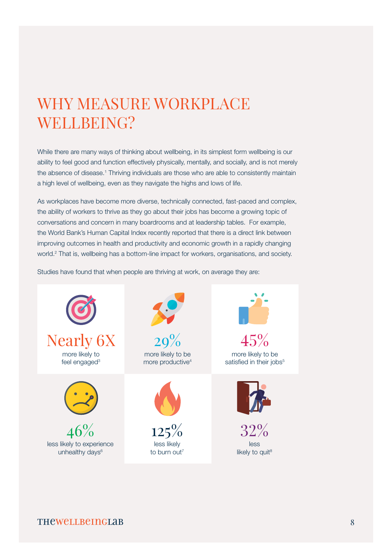# WHY MEASURE WORKPLACE WELLBEING?

While there are many ways of thinking about wellbeing, in its simplest form wellbeing is our ability to feel good and function effectively physically, mentally, and socially, and is not merely the absence of disease.<sup>1</sup> Thriving individuals are those who are able to consistently maintain a high level of wellbeing, even as they navigate the highs and lows of life.

As workplaces have become more diverse, technically connected, fast-paced and complex, the ability of workers to thrive as they go about their jobs has become a growing topic of conversations and concern in many boardrooms and at leadership tables. For example, the World Bank's Human Capital Index recently reported that there is a direct link between improving outcomes in health and productivity and economic growth in a rapidly changing world.<sup>2</sup> That is, wellbeing has a bottom-line impact for workers, organisations, and society.

Studies have found that when people are thriving at work, on average they are:

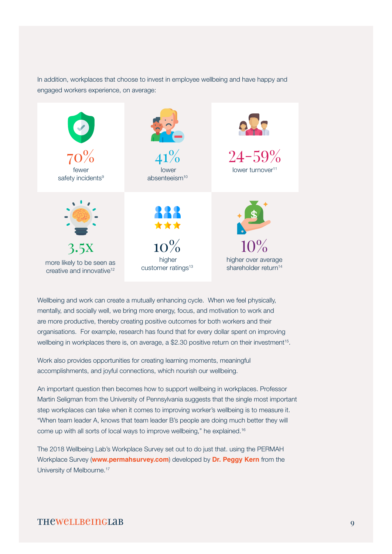In addition, workplaces that choose to invest in employee wellbeing and have happy and engaged workers experience, on average:



Wellbeing and work can create a mutually enhancing cycle. When we feel physically, mentally, and socially well, we bring more energy, focus, and motivation to work and are more productive, thereby creating positive outcomes for both workers and their organisations. For example, research has found that for every dollar spent on improving wellbeing in workplaces there is, on average, a \$2.30 positive return on their investment<sup>15</sup>.

Work also provides opportunities for creating learning moments, meaningful accomplishments, and joyful connections, which nourish our wellbeing.

An important question then becomes how to support wellbeing in workplaces. Professor Martin Seligman from the University of Pennsylvania suggests that the single most important step workplaces can take when it comes to improving worker's wellbeing is to measure it. "When team leader A, knows that team leader B's people are doing much better they will come up with all sorts of local ways to improve wellbeing," he explained.16

The 2018 Wellbeing Lab's Workplace Survey set out to do just that. using the PERMAH Workplace Survey (**[www.permahsurvey.com](http://www.permahsurvey.com)**) developed by **[Dr. Peggy Kern](http://www.peggykern.org)** from the University of Melbourne.17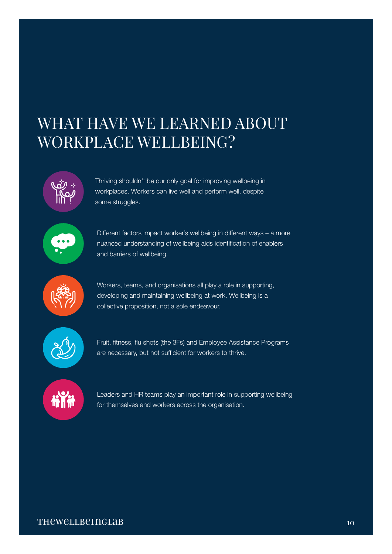## WHAT HAVE WE LEARNED ABOUT WORKPLACE WELLBEING?



Thriving shouldn't be our only goal for improving wellbeing in workplaces. Workers can live well and perform well, despite some struggles.



Different factors impact worker's wellbeing in different ways – a more nuanced understanding of wellbeing aids identification of enablers and barriers of wellbeing.



Workers, teams, and organisations all play a role in supporting, developing and maintaining wellbeing at work. Wellbeing is a collective proposition, not a sole endeavour.



Fruit, fitness, flu shots (the 3Fs) and Employee Assistance Programs are necessary, but not sufficient for workers to thrive.



Leaders and HR teams play an important role in supporting wellbeing for themselves and workers across the organisation.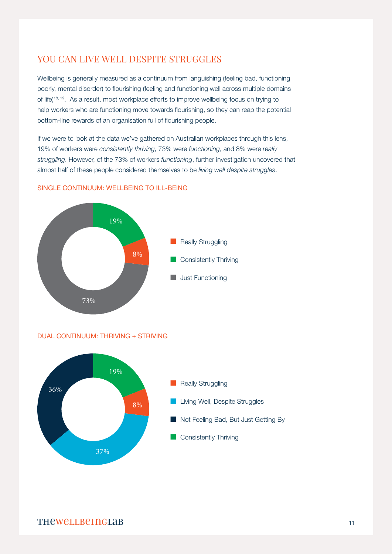## YOU CAN LIVE WELL DESPITE STRUGGLES

Wellbeing is generally measured as a continuum from languishing (feeling bad, functioning poorly, mental disorder) to flourishing (feeling and functioning well across multiple domains of life)18, 19. As a result, most workplace efforts to improve wellbeing focus on trying to help workers who are functioning move towards flourishing, so they can reap the potential bottom-line rewards of an organisation full of flourishing people.

If we were to look at the data we've gathered on Australian workplaces through this lens, 19% of workers were *consistently thriving*, 73% were *functioning*, and 8% were *really struggling*. However, of the 73% of workers *functioning*, further investigation uncovered that almost half of these people considered themselves to be *living well despite struggles*.



#### SINGLE CONTINUUM: WELLBEING TO ILL-BEING



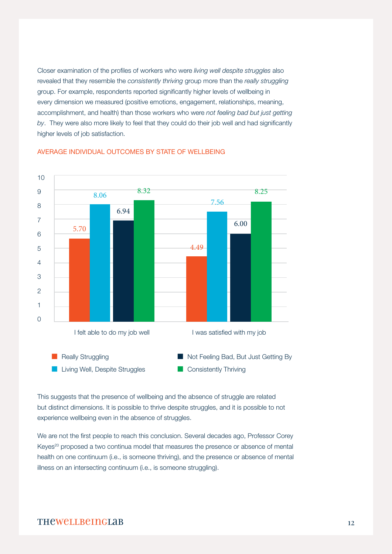Closer examination of the profiles of workers who were *living well despite struggles* also revealed that they resemble the *consistently thriving* group more than the *really struggling* group. For example, respondents reported significantly higher levels of wellbeing in every dimension we measured (positive emotions, engagement, relationships, meaning, accomplishment, and health) than those workers who were *not feeling bad but just getting by*. They were also more likely to feel that they could do their job well and had significantly higher levels of job satisfaction.



#### AVERAGE INDIVIDUAL OUTCOMES BY STATE OF WELLBEING

This suggests that the presence of wellbeing and the absence of struggle are related but distinct dimensions. It is possible to thrive despite struggles, and it is possible to not experience wellbeing even in the absence of struggles.

We are not the first people to reach this conclusion. Several decades ago, Professor Corey Keyes<sup>20</sup> proposed a two continua model that measures the presence or absence of mental health on one continuum (i.e., is someone thriving), and the presence or absence of mental illness on an intersecting continuum (i.e., is someone struggling).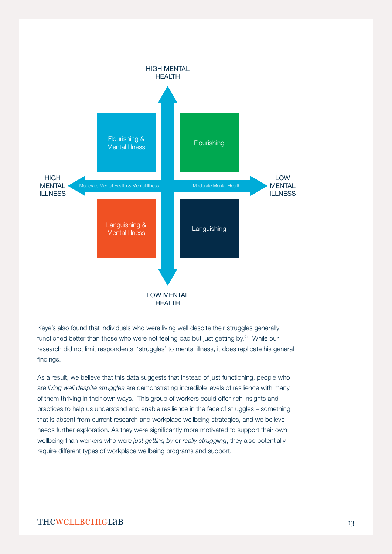

Keye's also found that individuals who were living well despite their struggles generally functioned better than those who were not feeling bad but just getting by.<sup>21</sup> While our research did not limit respondents' 'struggles' to mental illness, it does replicate his general findings.

As a result, we believe that this data suggests that instead of just functioning, people who are *living well despite struggles* are demonstrating incredible levels of resilience with many of them thriving in their own ways. This group of workers could offer rich insights and practices to help us understand and enable resilience in the face of struggles – something that is absent from current research and workplace wellbeing strategies, and we believe needs further exploration. As they were significantly more motivated to support their own wellbeing than workers who were *just getting by* or *really struggling*, they also potentially require different types of workplace wellbeing programs and support.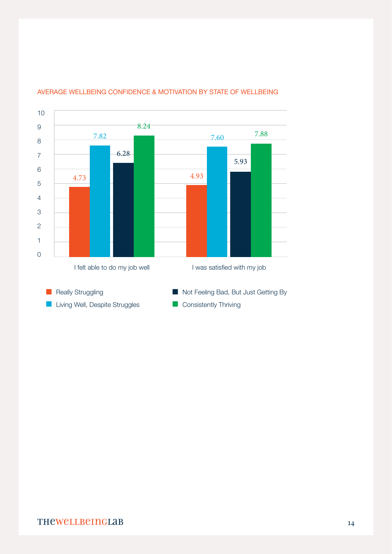

#### AVERAGE WELLBEING CONFIDENCE & MOTIVATION BY STATE OF WELLBEING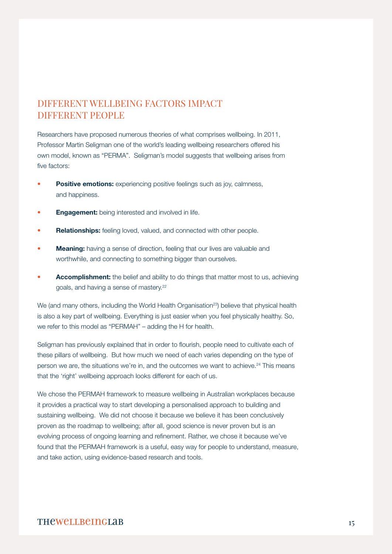## DIFFERENT WELLBEING FACTORS IMPACT DIFFERENT PEOPLE

Researchers have proposed numerous theories of what comprises wellbeing. In 2011, Professor Martin Seligman one of the world's leading wellbeing researchers offered his own model, known as "PERMA". Seligman's model suggests that wellbeing arises from five factors:

- **Positive emotions:** experiencing positive feelings such as joy, calmness, and happiness.
- **Engagement:** being interested and involved in life.
- **Relationships:** feeling loved, valued, and connected with other people.
- **Meaning:** having a sense of direction, feeling that our lives are valuable and worthwhile, and connecting to something bigger than ourselves.
- Accomplishment: the belief and ability to do things that matter most to us, achieving goals, and having a sense of mastery.22

We (and many others, including the World Health Organisation<sup>23</sup>) believe that physical health is also a key part of wellbeing. Everything is just easier when you feel physically healthy. So, we refer to this model as "PERMAH" – adding the H for health.

Seligman has previously explained that in order to flourish, people need to cultivate each of these pillars of wellbeing. But how much we need of each varies depending on the type of person we are, the situations we're in, and the outcomes we want to achieve.<sup>24</sup> This means that the 'right' wellbeing approach looks different for each of us.

We chose the PERMAH framework to measure wellbeing in Australian workplaces because it provides a practical way to start developing a personalised approach to building and sustaining wellbeing. We did not choose it because we believe it has been conclusively proven as the roadmap to wellbeing; after all, good science is never proven but is an evolving process of ongoing learning and refinement. Rather, we chose it because we've found that the PERMAH framework is a useful, easy way for people to understand, measure, and take action, using evidence-based research and tools.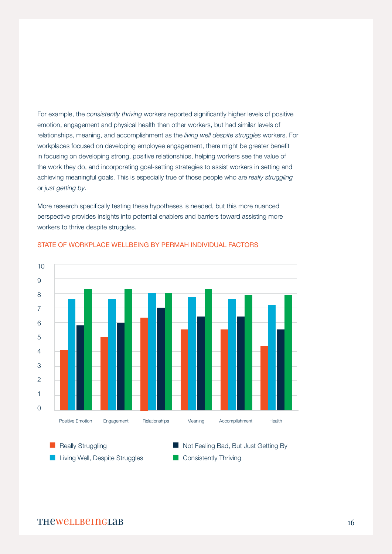For example, the *consistently thriving* workers reported significantly higher levels of positive emotion, engagement and physical health than other workers, but had similar levels of relationships, meaning, and accomplishment as the *living well despite struggles* workers. For workplaces focused on developing employee engagement, there might be greater benefit in focusing on developing strong, positive relationships, helping workers see the value of the work they do, and incorporating goal-setting strategies to assist workers in setting and achieving meaningful goals. This is especially true of those people who are *really struggling* or *just getting by*.

More research specifically testing these hypotheses is needed, but this more nuanced perspective provides insights into potential enablers and barriers toward assisting more workers to thrive despite struggles.



#### STATE OF WORKPLACE WELLBEING BY PERMAH INDIVIDUAL FACTORS

**Really Struggling Living Well, Despite Struggles** Not Feeling Bad, But Just Getting By **Consistently Thriving**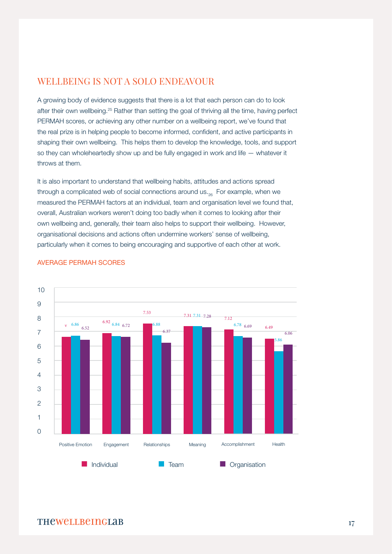## WELLBEING IS NOT A SOLO ENDEAVOUR

A growing body of evidence suggests that there is a lot that each person can do to look after their own wellbeing.25 Rather than setting the goal of thriving all the time, having perfect PERMAH scores, or achieving any other number on a wellbeing report, we've found that the real prize is in helping people to become informed, confident, and active participants in shaping their own wellbeing. This helps them to develop the knowledge, tools, and support so they can wholeheartedly show up and be fully engaged in work and life — whatever it throws at them.

It is also important to understand that wellbeing habits, attitudes and actions spread through a complicated web of social connections around us.<sub>26</sub> For example, when we measured the PERMAH factors at an individual, team and organisation level we found that, overall, Australian workers weren't doing too badly when it comes to looking after their own wellbeing and, generally, their team also helps to support their wellbeing. However, organisational decisions and actions often undermine workers' sense of wellbeing, particularly when it comes to being encouraging and supportive of each other at work.



#### AVERAGE PERMAH SCORES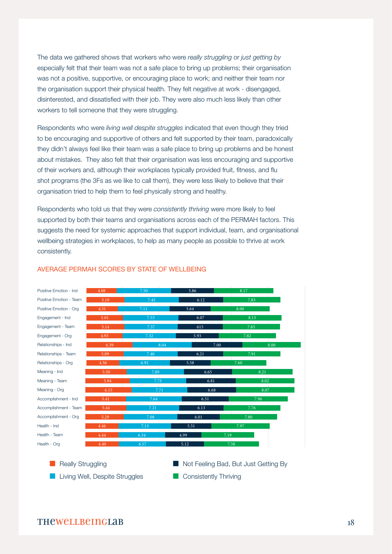The data we gathered shows that workers who were *really struggling* or *just getting by* especially felt that their team was not a safe place to bring up problems; their organisation was not a positive, supportive, or encouraging place to work; and neither their team nor the organisation support their physical health. They felt negative at work - disengaged, disinterested, and dissatisfied with their job. They were also much less likely than other workers to tell someone that they were struggling.

Respondents who were *living well despite struggles* indicated that even though they tried to be encouraging and supportive of others and felt supported by their team, paradoxically they didn't always feel like their team was a safe place to bring up problems and be honest about mistakes. They also felt that their organisation was less encouraging and supportive of their workers and, although their workplaces typically provided fruit, fitness, and flu shot programs (the 3Fs as we like to call them), they were less likely to believe that their organisation tried to help them to feel physically strong and healthy.

Respondents who told us that they were *consistently thriving* were more likely to feel supported by both their teams and organisations across each of the PERMAH factors. This suggests the need for systemic approaches that support individual, team, and organisational wellbeing strategies in workplaces, to help as many people as possible to thrive at work consistently.



#### AVERAGE PERMAH SCORES BY STATE OF WELLBEING

Really Struggling

- **Living Well, Despite Struggles**
- Not Feeling Bad, But Just Getting By
- **Consistently Thriving**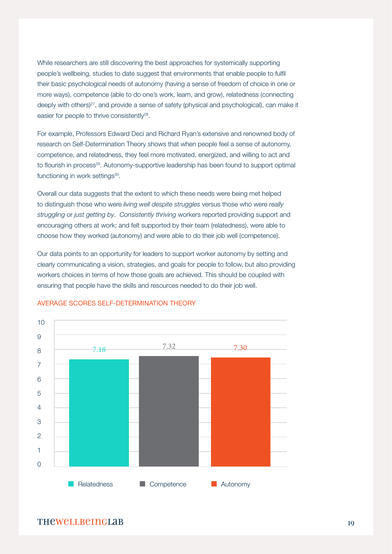While researchers are still discovering the best approaches for systemically supporting people's wellbeing, studies to date suggest that environments that enable people to fulfil their basic psychological needs of autonomy (having a sense of freedom of choice in one or more ways), competence (able to do one's work, learn, and grow), relatedness (connecting deeply with others)<sup>27</sup>, and provide a sense of safety (physical and psychological), can make it easier for people to thrive consistently<sup>28</sup>.

For example, Professors Edward Deci and Richard Ryan's extensive and renowned body of research on Self-Determination Theory shows that when people feel a sense of autonomy, competence, and relatedness, they feel more motivated, energized, and willing to act and to flourish in process<sup>29</sup>. Autonomy-supportive leadership has been found to support optimal functioning in work settings<sup>30</sup>.

Overall our data suggests that the extent to which these needs were being met helped to distinguish those who were *living well despite struggles* versus those who were *really struggling* or *just getting by*. *Consistently thriving* workers reported providing support and encouraging others at work; and felt supported by their team (relatedness), were able to choose how they worked (autonomy) and were able to do their job well (competence).

Our data points to an opportunity for leaders to support worker autonomy by setting and clearly communicating a vision, strategies, and goals for people to follow, but also providing workers choices in terms of how those goals are achieved. This should be coupled with ensuring that people have the skills and resources needed to do their job well.



#### AVERAGE SCORES SELF-DETERMINATION THEORY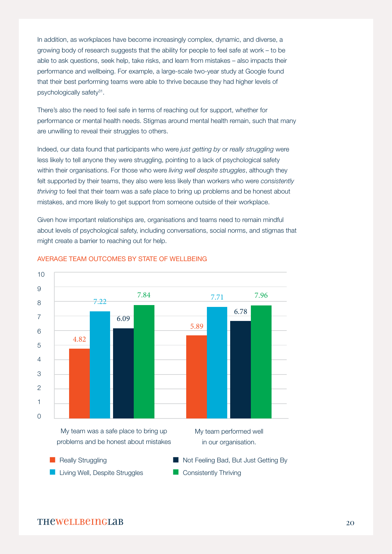In addition, as workplaces have become increasingly complex, dynamic, and diverse, a growing body of research suggests that the ability for people to feel safe at work – to be able to ask questions, seek help, take risks, and learn from mistakes – also impacts their performance and wellbeing. For example, a large-scale two-year study at Google found that their best performing teams were able to thrive because they had higher levels of psychologically safety<sup>31</sup>.

There's also the need to feel safe in terms of reaching out for support, whether for performance or mental health needs. Stigmas around mental health remain, such that many are unwilling to reveal their struggles to others.

Indeed, our data found that participants who were *just getting by* or *really struggling* were less likely to tell anyone they were struggling, pointing to a lack of psychological safety within their organisations. For those who were *living well despite struggles*, although they felt supported by their teams, they also were less likely than workers who were *consistently thriving* to feel that their team was a safe place to bring up problems and be honest about mistakes, and more likely to get support from someone outside of their workplace.

Given how important relationships are, organisations and teams need to remain mindful about levels of psychological safety, including conversations, social norms, and stigmas that might create a barrier to reaching out for help.



#### AVERAGE TEAM OUTCOMES BY STATE OF WELLBEING



**Consistently Thriving**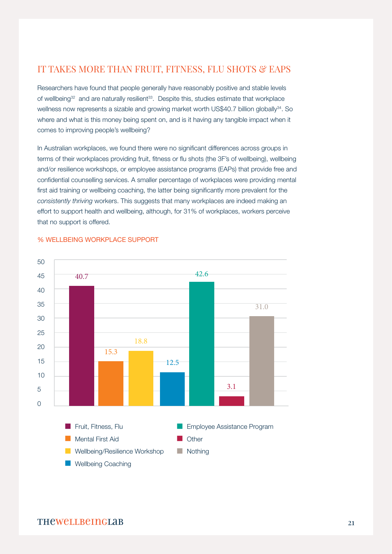## IT TAKES MORE THAN FRUIT, FITNESS, FLU SHOTS & EAPS

Researchers have found that people generally have reasonably positive and stable levels of wellbeing<sup>32</sup> and are naturally resilient<sup>33</sup>. Despite this, studies estimate that workplace wellness now represents a sizable and growing market worth US\$40.7 billion globally<sup>34</sup>. So where and what is this money being spent on, and is it having any tangible impact when it comes to improving people's wellbeing?

In Australian workplaces, we found there were no significant differences across groups in terms of their workplaces providing fruit, fitness or flu shots (the 3F's of wellbeing), wellbeing and/or resilience workshops, or employee assistance programs (EAPs) that provide free and confidential counselling services. A smaller percentage of workplaces were providing mental first aid training or wellbeing coaching, the latter being significantly more prevalent for the *consistently thriving* workers. This suggests that many workplaces are indeed making an effort to support health and wellbeing, although, for 31% of workplaces, workers perceive that no support is offered.



#### % WELLBEING WORKPLACE SUPPORT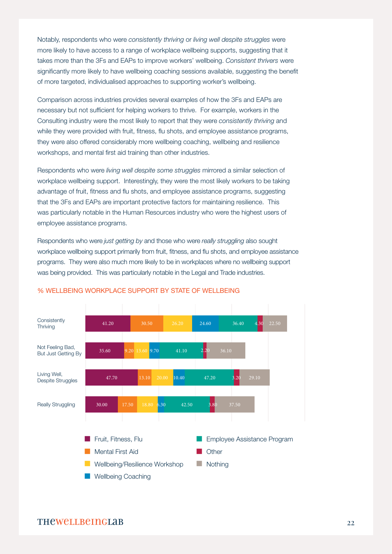Notably, respondents who were *consistently thriving* or *living well despite struggles* were more likely to have access to a range of workplace wellbeing supports, suggesting that it takes more than the 3Fs and EAPs to improve workers' wellbeing. *Consistent thrivers* were significantly more likely to have wellbeing coaching sessions available, suggesting the benefit of more targeted, individualised approaches to supporting worker's wellbeing.

Comparison across industries provides several examples of how the 3Fs and EAPs are necessary but not sufficient for helping workers to thrive. For example, workers in the Consulting industry were the most likely to report that they were *consistently thriving* and while they were provided with fruit, fitness, flu shots, and employee assistance programs, they were also offered considerably more wellbeing coaching, wellbeing and resilience workshops, and mental first aid training than other industries.

Respondents who were *living well despite some struggles* mirrored a similar selection of workplace wellbeing support. Interestingly, they were the most likely workers to be taking advantage of fruit, fitness and flu shots, and employee assistance programs, suggesting that the 3Fs and EAPs are important protective factors for maintaining resilience. This was particularly notable in the Human Resources industry who were the highest users of employee assistance programs.

Respondents who were *just getting by* and those who were *really struggling* also sought workplace wellbeing support primarily from fruit, fitness, and flu shots, and employee assistance programs. They were also much more likely to be in workplaces where no wellbeing support was being provided. This was particularly notable in the Legal and Trade industries.



#### % WELLBEING WORKPLACE SUPPORT BY STATE OF WELLBEING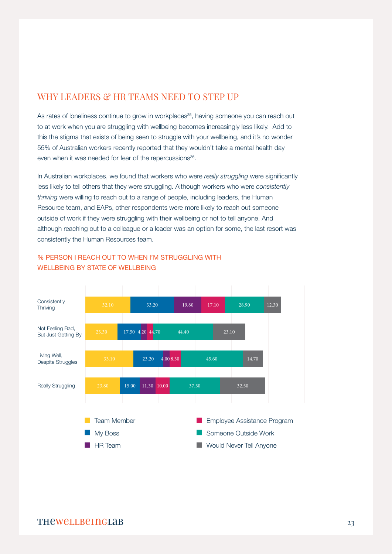## WHY LEADERS & HR TEAMS NEED TO STEP UP

As rates of loneliness continue to grow in workplaces<sup>35</sup>, having someone you can reach out to at work when you are struggling with wellbeing becomes increasingly less likely. Add to this the stigma that exists of being seen to struggle with your wellbeing, and it's no wonder 55% of Australian workers recently reported that they wouldn't take a mental health day even when it was needed for fear of the repercussions<sup>36</sup>.

In Australian workplaces, we found that workers who were *really struggling* were significantly less likely to tell others that they were struggling. Although workers who were *consistently thriving* were willing to reach out to a range of people, including leaders, the Human Resource team, and EAPs, other respondents were more likely to reach out someone outside of work if they were struggling with their wellbeing or not to tell anyone. And although reaching out to a colleague or a leader was an option for some, the last resort was consistently the Human Resources team.



### % PERSON I REACH OUT TO WHEN I'M STRUGGLING WITH WELLBEING BY STATE OF WELLBEING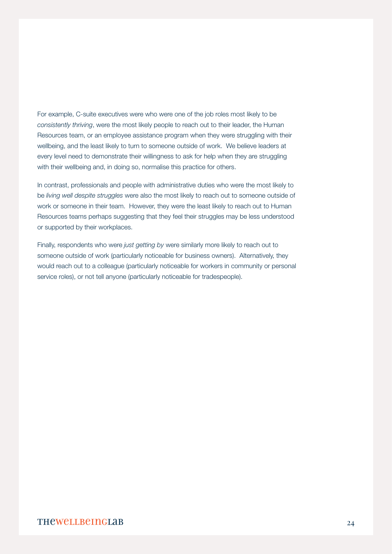For example, C-suite executives were who were one of the job roles most likely to be *consistently thriving*, were the most likely people to reach out to their leader, the Human Resources team, or an employee assistance program when they were struggling with their wellbeing, and the least likely to turn to someone outside of work. We believe leaders at every level need to demonstrate their willingness to ask for help when they are struggling with their wellbeing and, in doing so, normalise this practice for others.

In contrast, professionals and people with administrative duties who were the most likely to be *living well despite struggles* were also the most likely to reach out to someone outside of work or someone in their team. However, they were the least likely to reach out to Human Resources teams perhaps suggesting that they feel their struggles may be less understood or supported by their workplaces.

Finally, respondents who were *just getting by* were similarly more likely to reach out to someone outside of work (particularly noticeable for business owners). Alternatively, they would reach out to a colleague (particularly noticeable for workers in community or personal service roles), or not tell anyone (particularly noticeable for tradespeople).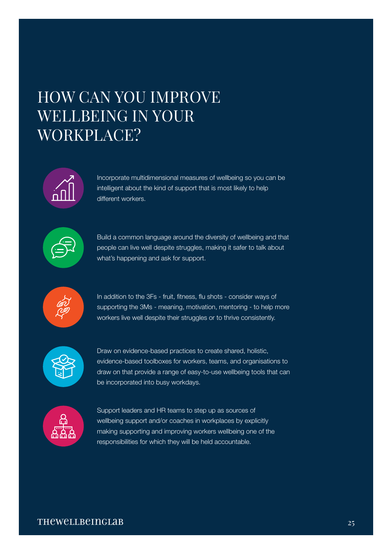# HOW CAN YOU IMPROVE WELLBEING IN YOUR WORKPLACE?



Incorporate multidimensional measures of wellbeing so you can be intelligent about the kind of support that is most likely to help different workers.



Build a common language around the diversity of wellbeing and that people can live well despite struggles, making it safer to talk about what's happening and ask for support.



In addition to the 3Fs - fruit, fitness, flu shots - consider ways of supporting the 3Ms - meaning, motivation, mentoring - to help more workers live well despite their struggles or to thrive consistently.



Draw on evidence-based practices to create shared, holistic, evidence-based toolboxes for workers, teams, and organisations to draw on that provide a range of easy-to-use wellbeing tools that can be incorporated into busy workdays.



Support leaders and HR teams to step up as sources of wellbeing support and/or coaches in workplaces by explicitly making supporting and improving workers wellbeing one of the responsibilities for which they will be held accountable.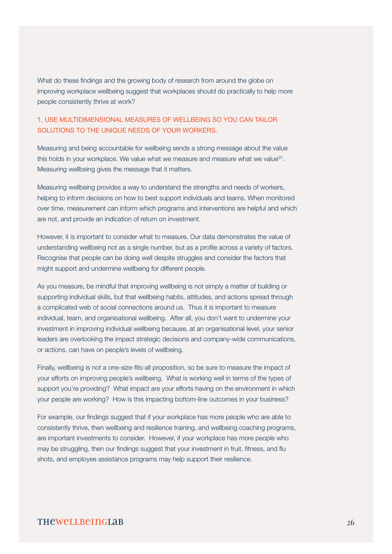What do these findings and the growing body of research from around the globe on improving workplace wellbeing suggest that workplaces should do practically to help more people consistently thrive at work?

### 1. USE MULTIDIMENSIONAL MEASURES OF WELLBEING SO YOU CAN TAILOR SOLUTIONS TO THE UNIQUE NEEDS OF YOUR WORKERS.

Measuring and being accountable for wellbeing sends a strong message about the value this holds in your workplace. We value what we measure and measure what we value $37$ . Measuring wellbeing gives the message that it matters.

Measuring wellbeing provides a way to understand the strengths and needs of workers, helping to inform decisions on how to best support individuals and teams. When monitored over time, measurement can inform which programs and interventions are helpful and which are not, and provide an indication of return on investment.

However, it is important to consider what to measure. Our data demonstrates the value of understanding wellbeing not as a single number, but as a profile across a variety of factors. Recognise that people can be doing well despite struggles and consider the factors that might support and undermine wellbeing for different people.

As you measure, be mindful that improving wellbeing is not simply a matter of building or supporting individual skills, but that wellbeing habits, attitudes, and actions spread through a complicated web of social connections around us. Thus it is important to measure individual, team, and organisational wellbeing. After all, you don't want to undermine your investment in improving individual wellbeing because, at an organisational level, your senior leaders are overlooking the impact strategic decisions and company-wide communications, or actions, can have on people's levels of wellbeing.

Finally, wellbeing is not a one-size-fits-all proposition, so be sure to measure the impact of your efforts on improving people's wellbeing. What is working well in terms of the types of support you're providing? What impact are your efforts having on the environment in which your people are working? How is this impacting bottom-line outcomes in your business?

For example, our findings suggest that if your workplace has more people who are able to consistently thrive, then wellbeing and resilience training, and wellbeing coaching programs, are important investments to consider. However, if your workplace has more people who may be struggling, then our findings suggest that your investment in fruit, fitness, and flu shots, and employee assistance programs may help support their resilience.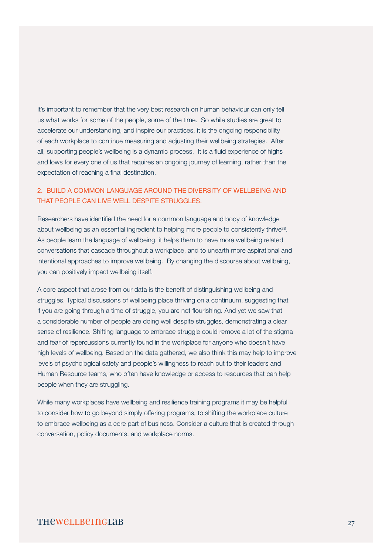It's important to remember that the very best research on human behaviour can only tell us what works for some of the people, some of the time. So while studies are great to accelerate our understanding, and inspire our practices, it is the ongoing responsibility of each workplace to continue measuring and adjusting their wellbeing strategies. After all, supporting people's wellbeing is a dynamic process. It is a fluid experience of highs and lows for every one of us that requires an ongoing journey of learning, rather than the expectation of reaching a final destination.

#### 2. BUILD A COMMON LANGUAGE AROUND THE DIVERSITY OF WELLBEING AND THAT PEOPLE CAN LIVE WELL DESPITE STRUGGLES.

Researchers have identified the need for a common language and body of knowledge about wellbeing as an essential ingredient to helping more people to consistently thrive<sup>38</sup>. As people learn the language of wellbeing, it helps them to have more wellbeing related conversations that cascade throughout a workplace, and to unearth more aspirational and intentional approaches to improve wellbeing. By changing the discourse about wellbeing, you can positively impact wellbeing itself.

A core aspect that arose from our data is the benefit of distinguishing wellbeing and struggles. Typical discussions of wellbeing place thriving on a continuum, suggesting that if you are going through a time of struggle, you are not flourishing. And yet we saw that a considerable number of people are doing well despite struggles, demonstrating a clear sense of resilience. Shifting language to embrace struggle could remove a lot of the stigma and fear of repercussions currently found in the workplace for anyone who doesn't have high levels of wellbeing. Based on the data gathered, we also think this may help to improve levels of psychological safety and people's willingness to reach out to their leaders and Human Resource teams, who often have knowledge or access to resources that can help people when they are struggling.

While many workplaces have wellbeing and resilience training programs it may be helpful to consider how to go beyond simply offering programs, to shifting the workplace culture to embrace wellbeing as a core part of business. Consider a culture that is created through conversation, policy documents, and workplace norms.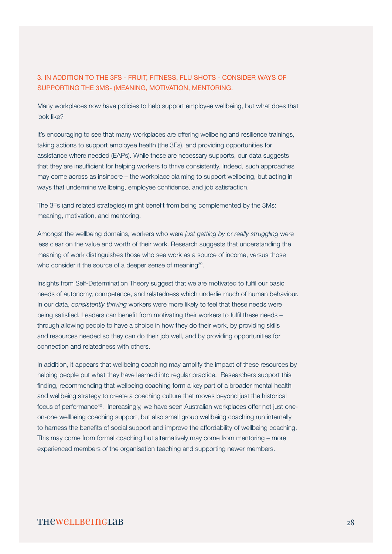#### 3. IN ADDITION TO THE 3FS - FRUIT, FITNESS, FLU SHOTS - CONSIDER WAYS OF SUPPORTING THE 3MS- (MEANING, MOTIVATION, MENTORING.

Many workplaces now have policies to help support employee wellbeing, but what does that look like?

It's encouraging to see that many workplaces are offering wellbeing and resilience trainings, taking actions to support employee health (the 3Fs), and providing opportunities for assistance where needed (EAPs). While these are necessary supports, our data suggests that they are insufficient for helping workers to thrive consistently. Indeed, such approaches may come across as insincere – the workplace claiming to support wellbeing, but acting in ways that undermine wellbeing, employee confidence, and job satisfaction.

The 3Fs (and related strategies) might benefit from being complemented by the 3Ms: meaning, motivation, and mentoring.

Amongst the wellbeing domains, workers who were *just getting by* or *really struggling* were less clear on the value and worth of their work. Research suggests that understanding the meaning of work distinguishes those who see work as a source of income, versus those who consider it the source of a deeper sense of meaning<sup>39</sup>.

Insights from Self-Determination Theory suggest that we are motivated to fulfil our basic needs of autonomy, competence, and relatedness which underlie much of human behaviour. In our data, *consistently thriving* workers were more likely to feel that these needs were being satisfied. Leaders can benefit from motivating their workers to fulfil these needs – through allowing people to have a choice in how they do their work, by providing skills and resources needed so they can do their job well, and by providing opportunities for connection and relatedness with others.

In addition, it appears that wellbeing coaching may amplify the impact of these resources by helping people put what they have learned into regular practice. Researchers support this finding, recommending that wellbeing coaching form a key part of a broader mental health and wellbeing strategy to create a coaching culture that moves beyond just the historical focus of performance<sup>40</sup>. Increasingly, we have seen Australian workplaces offer not just oneon-one wellbeing coaching support, but also small group wellbeing coaching run internally to harness the benefits of social support and improve the affordability of wellbeing coaching. This may come from formal coaching but alternatively may come from mentoring – more experienced members of the organisation teaching and supporting newer members.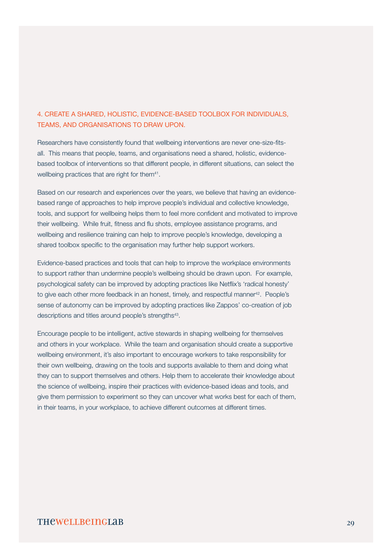### 4. CREATE A SHARED, HOLISTIC, EVIDENCE-BASED TOOLBOX FOR INDIVIDUALS, TEAMS, AND ORGANISATIONS TO DRAW UPON.

Researchers have consistently found that wellbeing interventions are never one-size-fitsall. This means that people, teams, and organisations need a shared, holistic, evidencebased toolbox of interventions so that different people, in different situations, can select the wellbeing practices that are right for them<sup>41</sup>.

Based on our research and experiences over the years, we believe that having an evidencebased range of approaches to help improve people's individual and collective knowledge, tools, and support for wellbeing helps them to feel more confident and motivated to improve their wellbeing. While fruit, fitness and flu shots, employee assistance programs, and wellbeing and resilience training can help to improve people's knowledge, developing a shared toolbox specific to the organisation may further help support workers.

Evidence-based practices and tools that can help to improve the workplace environments to support rather than undermine people's wellbeing should be drawn upon. For example, psychological safety can be improved by adopting practices like Netflix's 'radical honesty' to give each other more feedback in an honest, timely, and respectful manner<sup>42</sup>. People's sense of autonomy can be improved by adopting practices like Zappos' co-creation of job descriptions and titles around people's strengths<sup>43</sup>.

Encourage people to be intelligent, active stewards in shaping wellbeing for themselves and others in your workplace. While the team and organisation should create a supportive wellbeing environment, it's also important to encourage workers to take responsibility for their own wellbeing, drawing on the tools and supports available to them and doing what they can to support themselves and others. Help them to accelerate their knowledge about the science of wellbeing, inspire their practices with evidence-based ideas and tools, and give them permission to experiment so they can uncover what works best for each of them, in their teams, in your workplace, to achieve different outcomes at different times.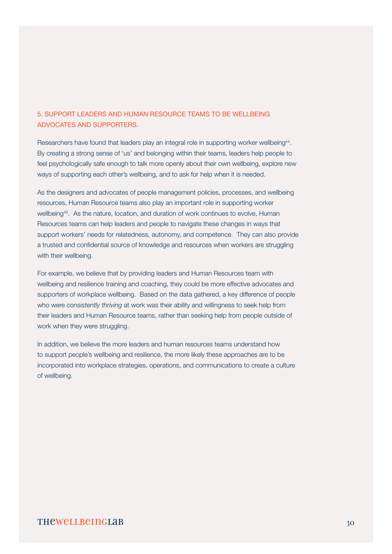## 5. SUPPORT LEADERS AND HUMAN RESOURCE TEAMS TO BE WELLBEING ADVOCATES AND SUPPORTERS.

Researchers have found that leaders play an integral role in supporting worker wellbeing44. By creating a strong sense of 'us' and belonging within their teams, leaders help people to feel psychologically safe enough to talk more openly about their own wellbeing, explore new ways of supporting each other's wellbeing, and to ask for help when it is needed.

As the designers and advocates of people management policies, processes, and wellbeing resources, Human Resource teams also play an important role in supporting worker wellbeing<sup>45</sup>. As the nature, location, and duration of work continues to evolve, Human Resources teams can help leaders and people to navigate these changes in ways that support workers' needs for relatedness, autonomy, and competence. They can also provide a trusted and confidential source of knowledge and resources when workers are struggling with their wellbeing.

For example, we believe that by providing leaders and Human Resources team with wellbeing and resilience training and coaching, they could be more effective advocates and supporters of workplace wellbeing. Based on the data gathered, a key difference of people who were *consistently thriving* at work was their ability and willingness to seek help from their leaders and Human Resource teams, rather than seeking help from people outside of work when they were struggling.

In addition, we believe the more leaders and human resources teams understand how to support people's wellbeing and resilience, the more likely these approaches are to be incorporated into workplace strategies, operations, and communications to create a culture of wellbeing.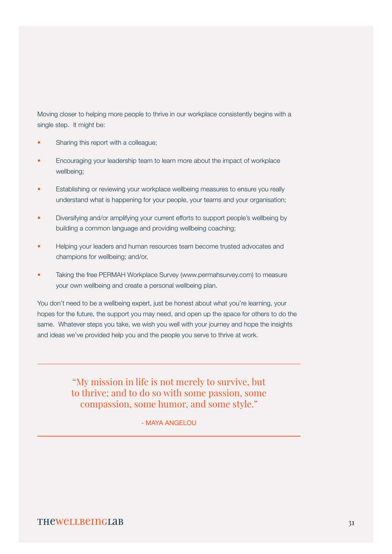Moving closer to helping more people to thrive in our workplace consistently begins with a single step. It might be:

- Sharing this report with a colleague;
- Encouraging your leadership team to learn more about the impact of workplace wellbeing;
- Establishing or reviewing your workplace wellbeing measures to ensure you really understand what is happening for your people, your teams and your organisation;
- Diversifying and/or amplifying your current efforts to support people's wellbeing by building a common language and providing wellbeing coaching;
- Helping your leaders and human resources team become trusted advocates and champions for wellbeing; and/or,
- Taking the free PERMAH Workplace Survey (www.permahsurvey.com) to measure your own wellbeing and create a personal wellbeing plan.

You don't need to be a wellbeing expert, just be honest about what you're learning, your hopes for the future, the support you may need, and open up the space for others to do the same. Whatever steps you take, we wish you well with your journey and hope the insights and ideas we've provided help you and the people you serve to thrive at work.

> "My mission in life is not merely to survive, but to thrive; and to do so with some passion, some compassion, some humor, and some style."

> > - MAYA ANGELOU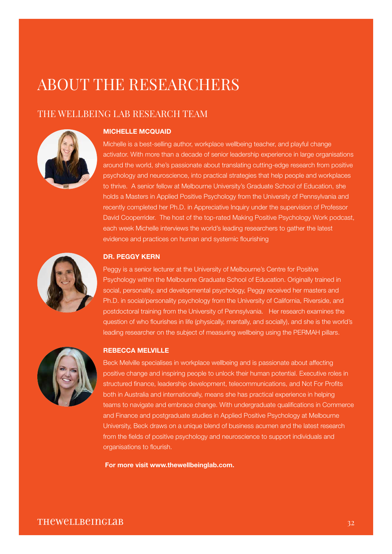## ABOUT THE RESEARCHERS

## THE WELLBEING LAB RESEARCH TEAM



#### MICHELLE MCQUAID

Michelle is a best-selling author, workplace wellbeing teacher, and playful change activator. With more than a decade of senior leadership experience in large organisations around the world, she's passionate about translating cutting-edge research from positive psychology and neuroscience, into practical strategies that help people and workplaces to thrive. A senior fellow at Melbourne University's Graduate School of Education, she holds a Masters in Applied Positive Psychology from the University of Pennsylvania and recently completed her Ph.D. in Appreciative Inquiry under the supervision of Professor David Cooperrider. The host of the top-rated Making Positive Psychology Work podcast, each week Michelle interviews the world's leading researchers to gather the latest evidence and practices on human and systemic flourishing



#### DR. PEGGY KERN

Peggy is a senior lecturer at the University of Melbourne's Centre for Positive Psychology within the Melbourne Graduate School of Education. Originally trained in social, personality, and developmental psychology, Peggy received her masters and Ph.D. in social/personality psychology from the University of California, Riverside, and postdoctoral training from the University of Pennsylvania. Her research examines the question of who flourishes in life (physically, mentally, and socially), and she is the world's leading researcher on the subject of measuring wellbeing using the PERMAH pillars.



#### REBECCA MELVILLE

Beck Melville specialises in workplace wellbeing and is passionate about affecting positive change and inspiring people to unlock their human potential. Executive roles in structured finance, leadership development, telecommunications, and Not For Profits both in Australia and internationally, means she has practical experience in helping teams to navigate and embrace change. With undergraduate qualifications in Commerce and Finance and postgraduate studies in Applied Positive Psychology at Melbourne University, Beck draws on a unique blend of business acumen and the latest research from the fields of positive psychology and neuroscience to support individuals and organisations to flourish.

For more visit [www.thewellbeinglab.com](http://www.thewellbeinglab.com).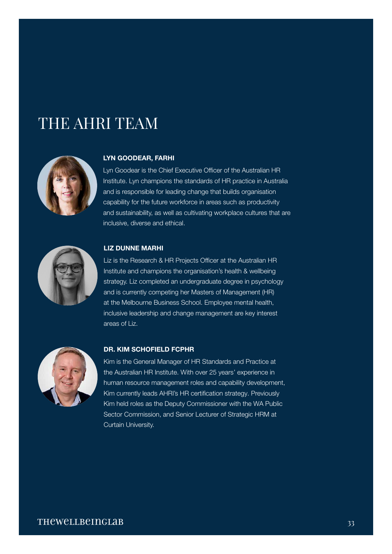# THE AHRI TEAM



#### LYN GOODEAR, FARHI

Lyn Goodear is the Chief Executive Officer of the Australian HR Institute. Lyn champions the standards of HR practice in Australia and is responsible for leading change that builds organisation capability for the future workforce in areas such as productivity and sustainability, as well as cultivating workplace cultures that are inclusive, diverse and ethical.



#### LIZ DUNNE MARHI

Liz is the Research & HR Projects Officer at the Australian HR Institute and champions the organisation's health & wellbeing strategy. Liz completed an undergraduate degree in psychology and is currently competing her Masters of Management (HR) at the Melbourne Business School. Employee mental health, inclusive leadership and change management are key interest areas of Liz.



#### DR. KIM SCHOFIELD FCPHR

Kim is the General Manager of HR Standards and Practice at the Australian HR Institute. With over 25 years' experience in human resource management roles and capability development, Kim currently leads AHRI's HR certification strategy. Previously Kim held roles as the Deputy Commissioner with the WA Public Sector Commission, and Senior Lecturer of Strategic HRM at Curtain University.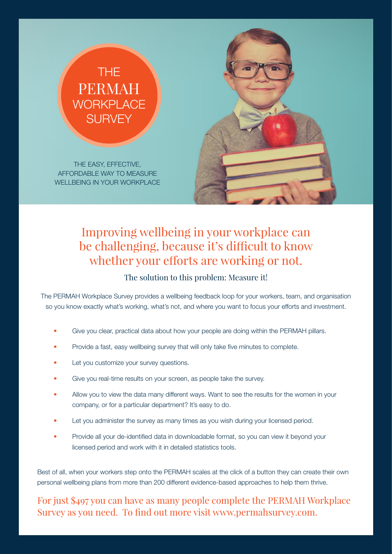## THE PERMAH **WORKPLACE SURVEY**

THE EASY, EFFECTIVE, AFFORDABLE WAY TO MEASURE WELLBEING IN YOUR WORKPLACE



## Improving wellbeing in your workplace can be challenging, because it's difficult to know whether your efforts are working or not.

## The solution to this problem: Measure it!

The PERMAH Workplace Survey provides a wellbeing feedback loop for your workers, team, and organisation so you know exactly what's working, what's not, and where you want to focus your efforts and investment.

- Give you clear, practical data about how your people are doing within the PERMAH pillars.
- Provide a fast, easy wellbeing survey that will only take five minutes to complete.
- Let you customize your survey questions.
- Give you real-time results on your screen, as people take the survey.
- Allow you to view the data many different ways. Want to see the results for the women in your company, or for a particular department? It's easy to do.
- Let you administer the survey as many times as you wish during your licensed period.
- Provide all your de-identified data in downloadable format, so you can view it beyond your licensed period and work with it in detailed statistics tools.

Best of all, when your workers step onto the PERMAH scales at the click of a button they can create their own personal wellbeing plans from more than 200 different evidence-based approaches to help them thrive.

For just \$497 you can have as many people complete the PERMAH Workplace Survey as you need. To find out more visit www.permahsurvey.com.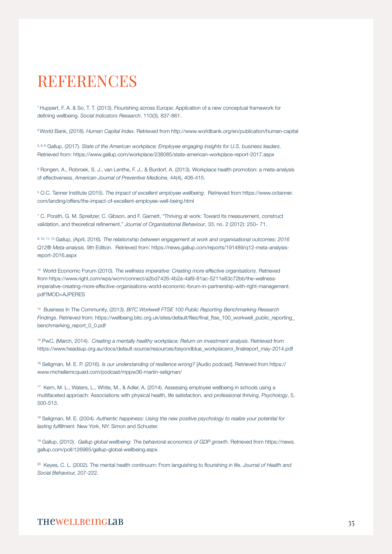## REFERENCES

1 Huppert, F. A. & So, T. T. (2013). Flourishing across Europe: Application of a new conceptual framework for defining wellbeing. *Social Indicators Research*, 110(3), 837-861.

2 World Bank, (2018). *Human Capital Index.* Retrieved from http://www.worldbank.org/en/publication/human-capital

3, 6, 8 Gallup, (2017). *State of the American workplace: Employee engaging insights for U.S. business leaders*. Retrieved from: https://www.gallup.com/workplace/238085/state-american-workplace-report-2017.aspx

5 Rongen, A., Robroek, S. J., van Lenthe, F. J., & Burdorf, A. (2013). Workplace health promotion: a meta-analysis of effectiveness. *American Journal of Preventive Medicine*, 44(4), 406-415.

5 O.C. Tanner Institute (2015). *The impact of excellent employee wellbeing*. Retrieved from https://www.octanner. com/landing/offers/the-impact-of-excellent-employee-well-being.html

7 C. Porath, G. M. Spreitzer, C. Gibson, and F. Garnett, "Thriving at work: Toward Its measurement, construct validation, and theoretical refinement," *Journal of Organisational Behaviour*, 33, no. 2 (2012): 250– 71.

9, 10, 11, 13 Gallup, (April, 2016)*. The relationship between engagement at work and organisational outcomes: 2016 Q12® Meta-analysis*, 9th Edition. Retrieved from: https://news.gallup.com/reports/191489/q12-meta-analysisreport-2016.aspx

12 World Economic Forum (2010). *The wellness imperative: Creating more effective organisations*. Retrieved from https://www.right.com/wps/wcm/connect/a2bd7426-4b2a-4af9-81ac-5211e83c72bb/the-wellnessimperative-creating-more-effective-organisations-world-economic-forum-in-partnership-with-right-management. pdf?MOD=AJPERES

14 Business In The Community, (2013). *BITC Workwell FTSE 100 Public Reporting Benchmarking Research Findings*. Retrieved from: https://wellbeing.bitc.org.uk/sites/default/files/final\_ftse\_100\_workwell\_public\_reporting\_ benchmarking\_report\_0\_0.pdf

15 PwC, (March, 2014). *Creating a mentally healthy workplace: Return on investment analysis*. Retrieved from https://www.headsup.org.au/docs/default-source/resources/beyondblue\_workplaceroi\_finalreport\_may-2014.pdf

16 Seligman, M. E. P. (2016). *Is our understanding of resilience wrong?* [Audio podcast]. Retrieved from https:// www.michellemcquaid.com/podcast/mppw36-martin-seligman/

17 Kern, M. L., Waters, L., White, M., & Adler, A. (2014). Assessing employee wellbeing in schools using a multifaceted approach: Associations with physical health, life satisfaction, and professional thriving. *Psychology*, 5, 500-513.

18 Seligman, M. E. (2004). *Authentic happiness: Using the new positive psychology to realize your potential for lasting fulfillment.* New York, NY: Simon and Schuster.

19 Gallup, (2010). *Gallup global wellbeing: The behavioral economics of GDP growth*. Retrieved from https://news. gallup.com/poll/126965/gallup-global-wellbeing.aspx.

20 Keyes, C. L. (2002). The mental health continuum: From languishing to flourishing in life. *Journal of Health and Social Behaviour,* 207-222.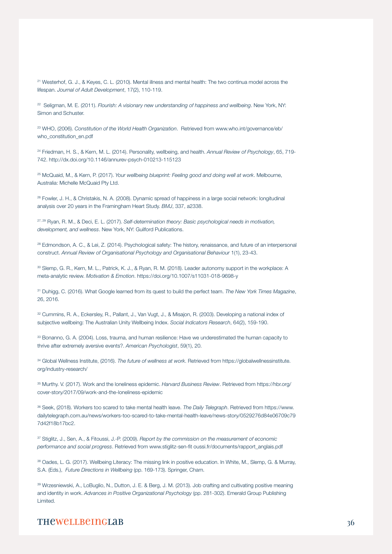21 Westerhof, G. J., & Keyes, C. L. (2010). Mental illness and mental health: The two continua model across the lifespan. *Journal of Adult Development*, 17(2), 110-119.

<sup>22</sup> Seligman, M. E. (2011). *Flourish: A visionary new understanding of happiness and wellbeing*. New York, NY: Simon and Schuster.

23 WHO, (2006). *Constitution of the World Health Organization*. Retrieved from www.who.int/governance/eb/ who\_constitution\_en.pdf

24 Friedman, H. S., & Kern, M. L. (2014). Personality, wellbeing, and health. *Annual Review of Psychology*, 65, 719- 742. http://dx.doi.org/10.1146/annurev-psych-010213-115123

25 McQuaid, M., & Kern, P. (2017). *Your wellbeing blueprint: Feeling good and doing well at work*. Melbourne, Australia: Michelle McQuaid Pty Ltd.

<sup>26</sup> Fowler, J. H., & Christakis, N. A. (2008). Dynamic spread of happiness in a large social network: longitudinal analysis over 20 years in the Framingham Heart Study. *BMJ*, 337, a2338.

27, 29 Ryan, R. M., & Deci, E. L. (2017). *Self-determination theory: Basic psychological needs in motivation, development, and wellness*. New York, NY: Guilford Publications.

<sup>28</sup> Edmondson, A. C., & Lei, Z. (2014). Psychological safety: The history, renaissance, and future of an interpersonal construct. *Annual Review of Organisational Psychology and Organisational Behaviour* 1(1), 23-43.

30 Slemp, G. R., Kern, M. L., Patrick, K. J., & Ryan, R. M. (2018). Leader autonomy support in the workplace: A meta-analytic review. *Motivation & Emotion*. https://doi.org/10.1007/s11031-018-9698-y

31 Duhigg, C. (2016). What Google learned from its quest to build the perfect team. *The New York Times Magazine*, 26, 2016.

32 Cummins, R. A., Eckersley, R., Pallant, J., Van Vugt, J., & Misajon, R. (2003). Developing a national index of subjective wellbeing: The Australian Unity Wellbeing Index. *Social Indicators Research*, 64(2), 159-190.

33 Bonanno, G. A. (2004). Loss, trauma, and human resilience: Have we underestimated the human capacity to thrive after extremely aversive events?. *American Psychologist*, 59(1), 20.

34 Global Wellness Institute, (2016). *The future of wellness at work*. Retrieved from https://globalwellnessinstitute. org/industry-research/

35 Murthy. V. (2017). Work and the loneliness epidemic. *Harvard Business Review*. Retrieved from https://hbr.org/ cover-story/2017/09/work-and-the-loneliness-epidemic

36 Seek, (2018). Workers too scared to take mental health leave. *The Daily Telegraph*. Retrieved from https://www. dailytelegraph.com.au/news/workers-too-scared-to-take-mental-health-leave/news-story/0529276d84e06709c79 7d42f18b17bc2.

37 Stiglitz, J., Sen, A., & Fitoussi, J.-P. (2009). *Report by the commission on the measurement of economic performance and social progress*. Retrieved from www.stiglitz-sen-fit oussi.fr/documents/rapport\_anglais.pdf

38 Oades, L. G. (2017). Wellbeing Literacy: The missing link in positive education. In White, M., Slemp, G. & Murray, S.A. (Eds.), *Future Directions in Wellbeing* (pp. 169-173). Springer, Cham.

39 Wrzesniewski, A., LoBuglio, N., Dutton, J. E. & Berg, J. M. (2013). Job crafting and cultivating positive meaning and identity in work. *Advances in Positive Organizational Psychology* (pp. 281-302). Emerald Group Publishing Limited.